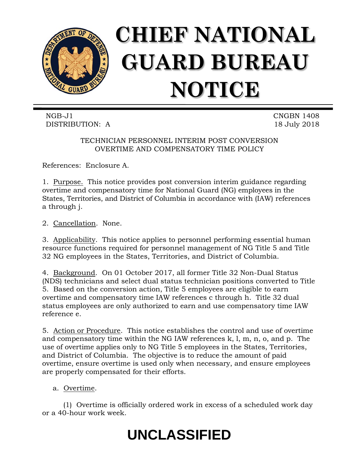

NGB-J1 CNGBN 1408 DISTRIBUTION: A 18 July 2018

TECHNICIAN PERSONNEL INTERIM POST CONVERSION OVERTIME AND COMPENSATORY TIME POLICY

References: Enclosure A.

1. Purpose. This notice provides post conversion interim guidance regarding overtime and compensatory time for National Guard (NG) employees in the States, Territories, and District of Columbia in accordance with (IAW) references a through j.

2. Cancellation. None.

3. Applicability. This notice applies to personnel performing essential human resource functions required for personnel management of NG Title 5 and Title 32 NG employees in the States, Territories, and District of Columbia.

4. Background. On 01 October 2017, all former Title 32 Non-Dual Status (NDS) technicians and select dual status technician positions converted to Title 5. Based on the conversion action, Title 5 employees are eligible to earn overtime and compensatory time IAW references c through h. Title 32 dual status employees are only authorized to earn and use compensatory time IAW reference e.

5. Action or Procedure. This notice establishes the control and use of overtime and compensatory time within the NG IAW references k, l, m, n, o, and p. The use of overtime applies only to NG Title 5 employees in the States, Territories, and District of Columbia. The objective is to reduce the amount of paid overtime, ensure overtime is used only when necessary, and ensure employees are properly compensated for their efforts.

a. Overtime.

(1) Overtime is officially ordered work in excess of a scheduled work day or a 40-hour work week.

## **UNCLASSIFIED**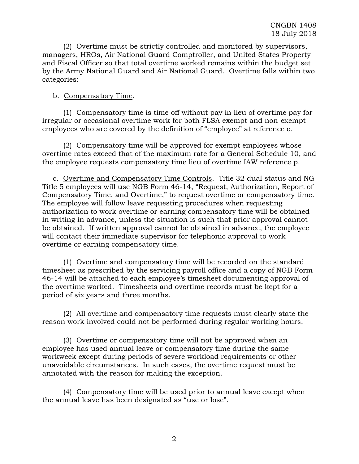(2) Overtime must be strictly controlled and monitored by supervisors, managers, HROs, Air National Guard Comptroller, and United States Property and Fiscal Officer so that total overtime worked remains within the budget set by the Army National Guard and Air National Guard. Overtime falls within two categories:

## b. Compensatory Time.

(1) Compensatory time is time off without pay in lieu of overtime pay for irregular or occasional overtime work for both FLSA exempt and non-exempt employees who are covered by the definition of "employee" at reference o.

(2) Compensatory time will be approved for exempt employees whose overtime rates exceed that of the maximum rate for a General Schedule 10, and the employee requests compensatory time lieu of overtime IAW reference p.

c. Overtime and Compensatory Time Controls. Title 32 dual status and NG Title 5 employees will use NGB Form 46-14, "Request, Authorization, Report of Compensatory Time, and Overtime," to request overtime or compensatory time. The employee will follow leave requesting procedures when requesting authorization to work overtime or earning compensatory time will be obtained in writing in advance, unless the situation is such that prior approval cannot be obtained. If written approval cannot be obtained in advance, the employee will contact their immediate supervisor for telephonic approval to work overtime or earning compensatory time.

(1) Overtime and compensatory time will be recorded on the standard timesheet as prescribed by the servicing payroll office and a copy of NGB Form 46-14 will be attached to each employee's timesheet documenting approval of the overtime worked. Timesheets and overtime records must be kept for a period of six years and three months.

(2) All overtime and compensatory time requests must clearly state the reason work involved could not be performed during regular working hours.

(3) Overtime or compensatory time will not be approved when an employee has used annual leave or compensatory time during the same workweek except during periods of severe workload requirements or other unavoidable circumstances. In such cases, the overtime request must be annotated with the reason for making the exception.

(4) Compensatory time will be used prior to annual leave except when the annual leave has been designated as "use or lose".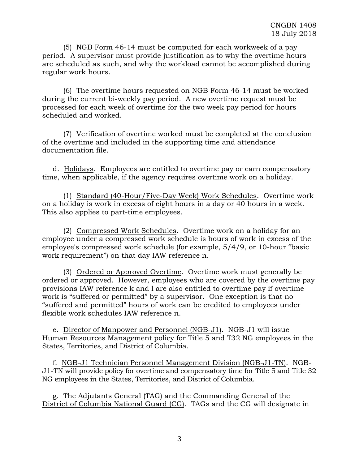(5) NGB Form 46-14 must be computed for each workweek of a pay period. A supervisor must provide justification as to why the overtime hours are scheduled as such, and why the workload cannot be accomplished during regular work hours.

(6) The overtime hours requested on NGB Form 46-14 must be worked during the current bi-weekly pay period. A new overtime request must be processed for each week of overtime for the two week pay period for hours scheduled and worked.

(7) Verification of overtime worked must be completed at the conclusion of the overtime and included in the supporting time and attendance documentation file.

d. Holidays. Employees are entitled to overtime pay or earn compensatory time, when applicable, if the agency requires overtime work on a holiday.

(1) Standard (40-Hour/Five-Day Week) Work Schedules. Overtime work on a holiday is work in excess of eight hours in a day or 40 hours in a week. This also applies to part-time employees.

(2) Compressed Work Schedules. Overtime work on a holiday for an employee under a compressed work schedule is hours of work in excess of the employee's compressed work schedule (for example, 5/4/9, or 10-hour "basic work requirement") on that day IAW reference n.

(3) Ordered or Approved Overtime. Overtime work must generally be ordered or approved. However, employees who are covered by the overtime pay provisions IAW reference k and l are also entitled to overtime pay if overtime work is "suffered or permitted" by a supervisor. One exception is that no "suffered and permitted" hours of work can be credited to employees under flexible work schedules IAW reference n.

e. Director of Manpower and Personnel (NGB-J1). NGB-J1 will issue Human Resources Management policy for Title 5 and T32 NG employees in the States, Territories, and District of Columbia.

f. NGB-J1 Technician Personnel Management Division (NGB-J1-TN). NGB-J1-TN will provide policy for overtime and compensatory time for Title 5 and Title 32 NG employees in the States, Territories, and District of Columbia.

g. The Adjutants General (TAG) and the Commanding General of the District of Columbia National Guard (CG). TAGs and the CG will designate in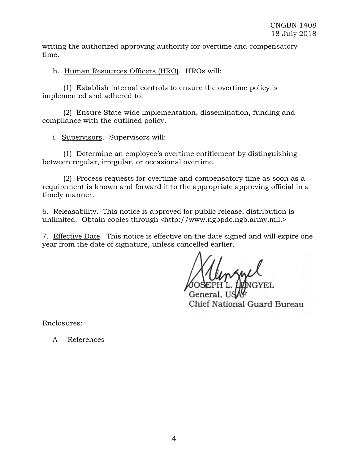writing the authorized approving authority for overtime and compensatory time.

h. Human Resources Officers (HRO). HROs will:

(1) Establish internal controls to ensure the overtime policy is implemented and adhered to.

(2) Ensure State-wide implementation, dissemination, funding and compliance with the outlined policy.

i. Supervisors. Supervisors will:

(1) Determine an employee's overtime entitlement by distinguishing between regular, irregular, or occasional overtime.

(2) Process requests for overtime and compensatory time as soon as a requirement is known and forward it to the appropriate approving official in a timely manner.

6. Releasability. This notice is approved for public release; distribution is unlimited. Obtain copies through [<http://www.ngbpdc.ngb.army.mil.](http://www.ngbpdc.ngb.army.mil/)>

7. Effective Date. This notice is effective on the date signed and will expire one year from the date of signature, unless cancelled earlier.

General. Chief National Guard Bureau

Enclosures:

A -- References